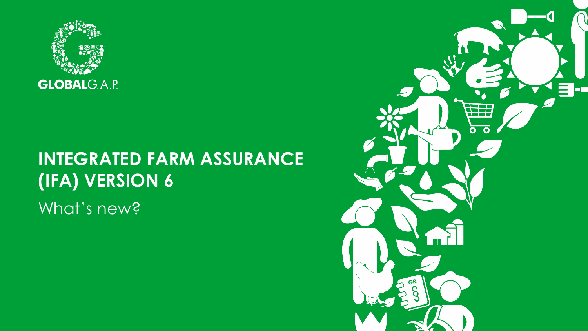

What's new?

## **INTEGRATED FARM ASSURANCE (IFA) VERSION 6**

# $\mathcal{L}$ 1353 Ō GR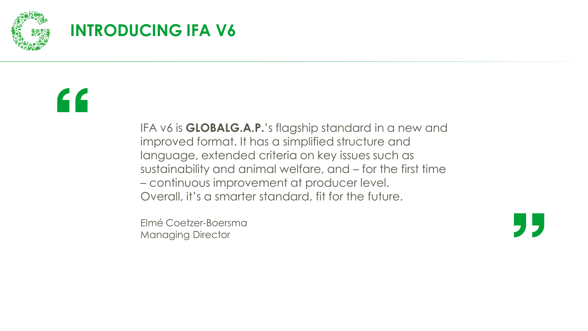

## **INTRODUCING IFA V6**

## 66

IFA v6 is **GLOBALG.A.P.**'s flagship standard in a new and improved format. It has a simplified structure and language, extended criteria on key issues such as sustainability and animal welfare, and – for the first time – continuous improvement at producer level. Overall, it's a smarter standard, fit for the future.

Elmé Coetzer-Boersma Managing Director

J 5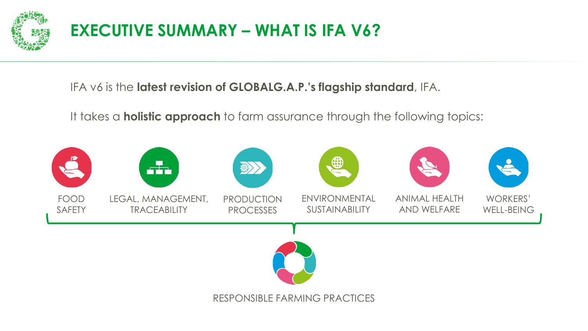

## **EXECUTIVE SUMMARY – WHAT IS IFA V6?**

IFA v6 is the **latest revision of GLOBALG.A.P.'s flagship standard**, IFA.

It takes a **holistic approach** to farm assurance through the following topics:

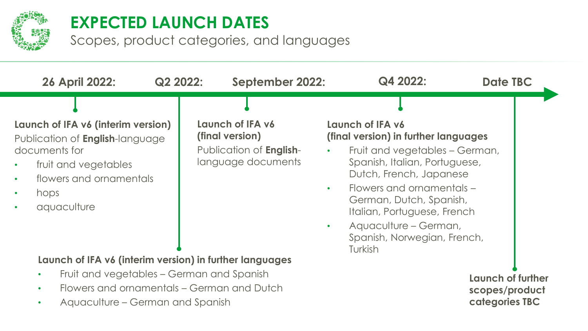

### **EXPECTED LAUNCH DATES**

Scopes, product categories, and languages

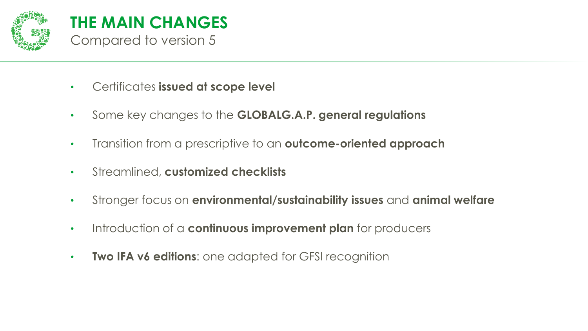

- Certificates **issued at scope level**
- Some key changes to the **GLOBALG.A.P. general regulations**
- Transition from a prescriptive to an **outcome-oriented approach**
- Streamlined, **customized checklists**
- Stronger focus on **environmental/sustainability issues** and **animal welfare**
- Introduction of a **continuous improvement plan** for producers
- **Two IFA v6 editions**: one adapted for GFSI recognition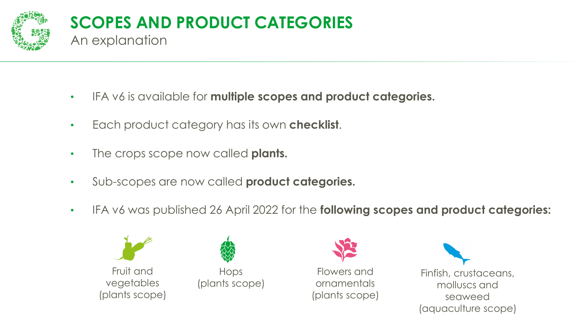

- IFA v6 is available for **multiple scopes and product categories.**
- Each product category has its own **checklist**.
- The crops scope now called **plants.**
- Sub-scopes are now called **product categories.**
- IFA v6 was published 26 April 2022 for the **following scopes and product categories:**







Flowers and ornamentals (plants scope)

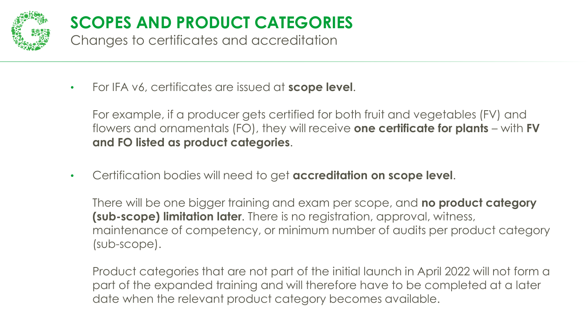

## **SCOPES AND PRODUCT CATEGORIES**

Changes to certificates and accreditation

• For IFA v6, certificates are issued at **scope level**.

For example, if a producer gets certified for both fruit and vegetables (FV) and flowers and ornamentals (FO), they will receive **one certificate for plants** – with **FV and FO listed as product categories**.

• Certification bodies will need to get **accreditation on scope level**.

There will be one bigger training and exam per scope, and **no product category (sub-scope) limitation later**. There is no registration, approval, witness, maintenance of competency, or minimum number of audits per product category (sub-scope).

Product categories that are not part of the initial launch in April 2022 will not form a part of the expanded training and will therefore have to be completed at a later date when the relevant product category becomes available.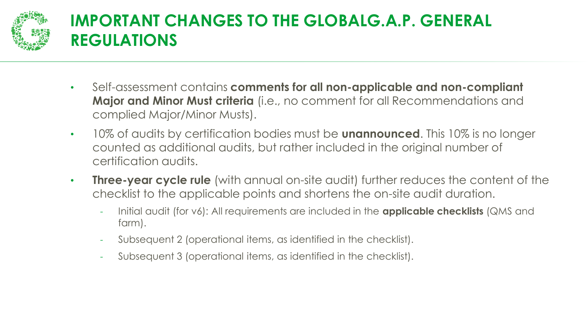

## **IMPORTANT CHANGES TO THE GLOBALG.A.P. GENERAL REGULATIONS**

- Self-assessment contains **comments for all non-applicable and non-compliant Major and Minor Must criteria** (i.e., no comment for all Recommendations and complied Major/Minor Musts).
- 10% of audits by certification bodies must be **unannounced**. This 10% is no longer counted as additional audits, but rather included in the original number of certification audits.
- **Three-year cycle rule** (with annual on-site audit) further reduces the content of the checklist to the applicable points and shortens the on-site audit duration.
	- Initial audit (for v6): All requirements are included in the **applicable checklists** (QMS and farm).
	- Subsequent 2 (operational items, as identified in the checklist).
	- Subsequent 3 (operational items, as identified in the checklist).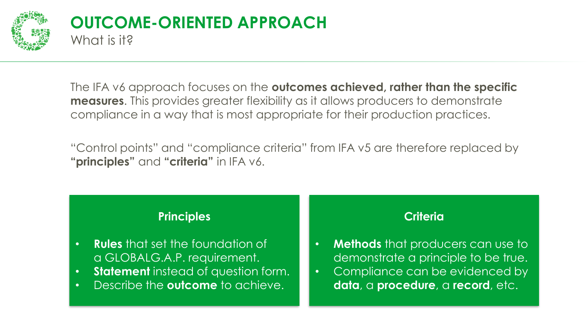

#### **OUTCOME-ORIENTED APPROACH** What is it?

The IFA v6 approach focuses on the **outcomes achieved, rather than the specific measures**. This provides greater flexibility as it allows producers to demonstrate compliance in a way that is most appropriate for their production practices.

"Control points" and "compliance criteria" from IFA v5 are therefore replaced by **"principles"** and **"criteria"** in IFA v6.

#### **Principles**

- **Rules** that set the foundation of a GLOBALG.A.P. requirement.
- **Statement** instead of question form.
- Describe the **outcome** to achieve.

#### **Criteria**

- **Methods** that producers can use to demonstrate a principle to be true.
- Compliance can be evidenced by **data**, a **procedure**, a **record**, etc.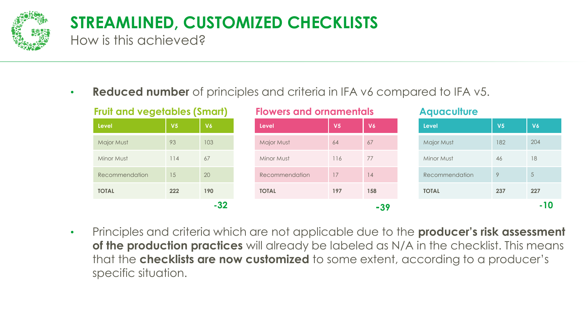

## **STREAMLINED, CUSTOMIZED CHECKLISTS**

How is this achieved?

• **Reduced number** of principles and criteria in IFA v6 compared to IFA v5.

| <b>Fruit and vegetables (Smart)</b> |                |           | <b>Flowers and ornamentals</b> |                |     | <b>Aquaculture</b> |                |  |
|-------------------------------------|----------------|-----------|--------------------------------|----------------|-----|--------------------|----------------|--|
| Level                               | V <sub>5</sub> | <b>V6</b> | Level                          | V <sub>5</sub> | V6  | Level              | V <sub>5</sub> |  |
| Major Must                          | 93             | 103       | <b>Major Must</b>              | 64             | 67  | <b>Major Must</b>  | 182            |  |
| Minor Must                          | 114            | 67        | Minor Must                     | 116            | 77  | Minor Must         | 46             |  |
| Recommendation                      | 15             | 20        | Recommendation                 | 17             | 14  | Recommendation     | 9              |  |
| <b>TOTAL</b>                        | 222            | 190       | <b>TOTAL</b>                   | 197            | 158 | <b>TOTAL</b>       | 237            |  |
|                                     |                | $-32$     |                                |                | -39 |                    |                |  |

• Principles and criteria which are not applicable due to the **producer's risk assessment of the production practices** will already be labeled as N/A in the checklist. This means that the **checklists are now customized** to some extent, according to a producer's specific situation.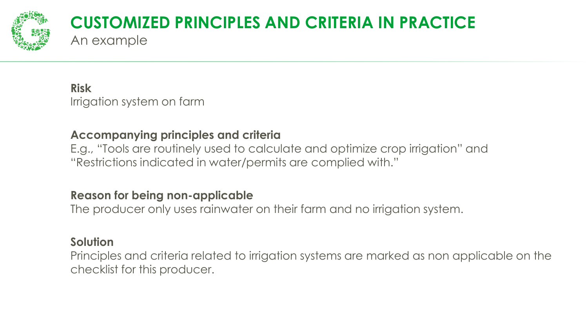

#### **CUSTOMIZED PRINCIPLES AND CRITERIA IN PRACTICE** An example

**Risk** Irrigation system on farm

#### **Accompanying principles and criteria**

E.g., "Tools are routinely used to calculate and optimize crop irrigation" and "Restrictions indicated in water/permits are complied with."

#### **Reason for being non-applicable**

The producer only uses rainwater on their farm and no irrigation system.

#### **Solution**

Principles and criteria related to irrigation systems are marked as non applicable on the checklist for this producer.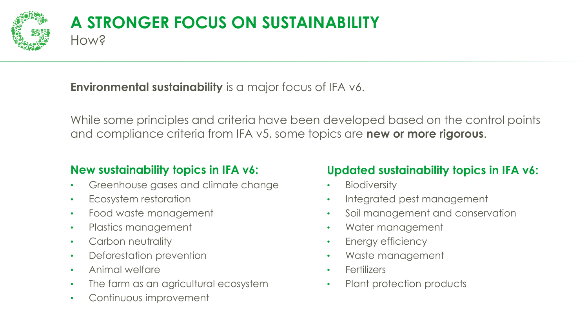

#### **A STRONGER FOCUS ON SUSTAINABILITY** How?

**Environmental sustainability** is a major focus of IFA v6.

While some principles and criteria have been developed based on the control points and compliance criteria from IFA v5, some topics are **new or more rigorous**.

#### **New sustainability topics in IFA v6:**

- Greenhouse gases and climate change
- Ecosystem restoration
- Food waste management
- Plastics management
- Carbon neutrality
- Deforestation prevention
- Animal welfare
- The farm as an agricultural ecosystem
- Continuous improvement

#### **Updated sustainability topics in IFA v6:**

- **Biodiversity**
- Integrated pest management
- Soil management and conservation
- Water management
- Energy efficiency
- Waste management
- **Fertilizers**
- Plant protection products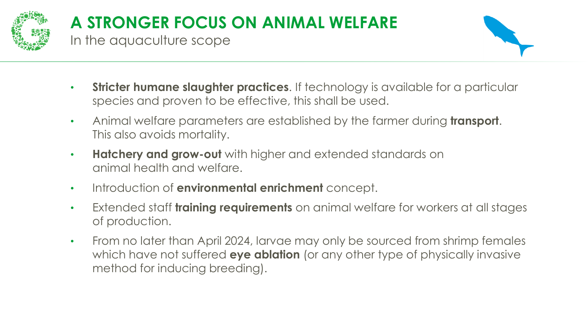

## **A STRONGER FOCUS ON ANIMAL WELFARE**

In the aquaculture scope



- **Stricter humane slaughter practices.** If technology is available for a particular species and proven to be effective, this shall be used.
- Animal welfare parameters are established by the farmer during **transport**. This also avoids mortality.
- **Hatchery and grow-out** with higher and extended standards on animal health and welfare.
- Introduction of **environmental enrichment** concept.
- Extended staff **training requirements** on animal welfare for workers at all stages of production.
- From no later than April 2024, larvae may only be sourced from shrimp females which have not suffered **eye ablation** (or any other type of physically invasive method for inducing breeding).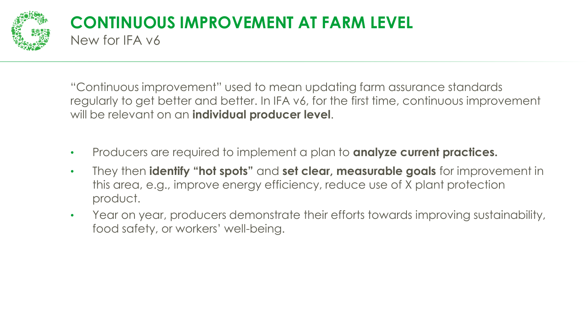

#### **CONTINUOUS IMPROVEMENT AT FARM LEVEL** New for IFA v6

"Continuous improvement" used to mean updating farm assurance standards regularly to get better and better. In IFA v6, for the first time, continuous improvement will be relevant on an **individual producer level**.

- Producers are required to implement a plan to **analyze current practices.**
- They then **identify "hot spots"** and **set clear, measurable goals** for improvement in this area, e.g., improve energy efficiency, reduce use of X plant protection product.
- Year on year, producers demonstrate their efforts towards improving sustainability, food safety, or workers' well-being.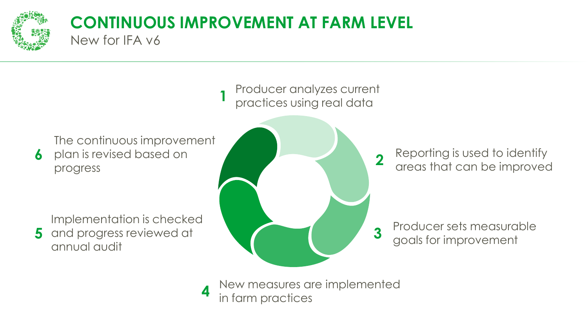

**6**

#### **CONTINUOUS IMPROVEMENT AT FARM LEVEL** New for IFA v6

Producer analyzes current practices using real data **1**

The continuous improvement plan is revised based on progress

Implementation is checked

and progress reviewed at annual audit **5**



Reporting is used to identify areas that can be improved

Producer sets measurable goals for improvement

New measures are implemented in farm practices **4**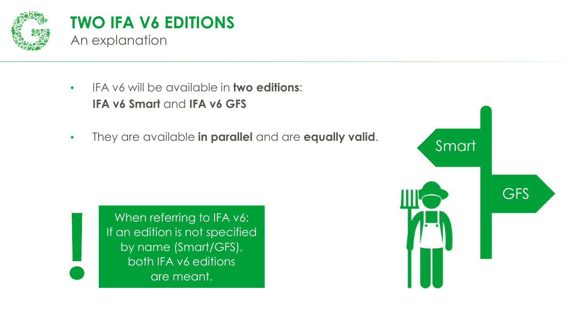

- IFA v6 will be available in **two editions**: **IFA v6 Smart** and **IFA v6 GFS**
- They are available **in parallel** and are **equally valid**.



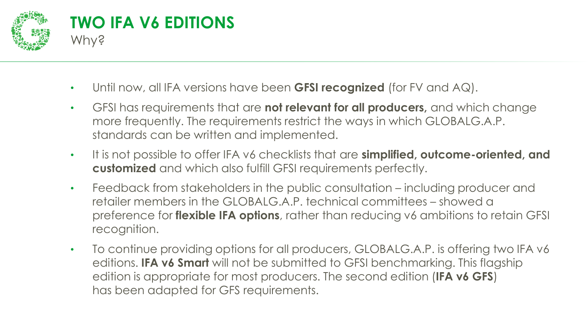

- Until now, all IFA versions have been **GFSI recognized** (for FV and AQ).
- GFSI has requirements that are **not relevant for all producers,** and which change more frequently. The requirements restrict the ways in which GLOBALG.A.P. standards can be written and implemented.
- It is not possible to offer IFA v6 checklists that are **simplified, outcome-oriented, and customized** and which also fulfill GFSI requirements perfectly.
- Feedback from stakeholders in the public consultation including producer and retailer members in the GLOBALG.A.P. technical committees – showed a preference for **flexible IFA options**, rather than reducing v6 ambitions to retain GFSI recognition.
- To continue providing options for all producers, GLOBALG.A.P. is offering two IFA v6 editions. **IFA v6 Smart** will not be submitted to GFSI benchmarking. This flagship edition is appropriate for most producers. The second edition (**IFA v6 GFS**) has been adapted for GFS requirements.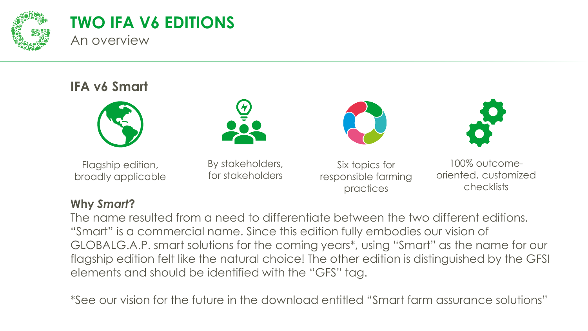

#### **TWO IFA V6 EDITIONS** An overview

#### **IFA v6 Smart**



Flagship edition, broadly applicable







By stakeholders, for stakeholders

Six topics for responsible farming practices

100% outcomeoriented, customized checklists

#### **Why** *Smart***?**

The name resulted from a need to differentiate between the two different editions. "Smart" is a commercial name. Since this edition fully embodies our vision of GLOBALG.A.P. smart solutions for the coming years\*, using "Smart" as the name for our flagship edition felt like the natural choice! The other edition is distinguished by the GFSI elements and should be identified with the "GFS" tag.

\*See our vision for the future in the download entitled "Smart farm assurance solutions"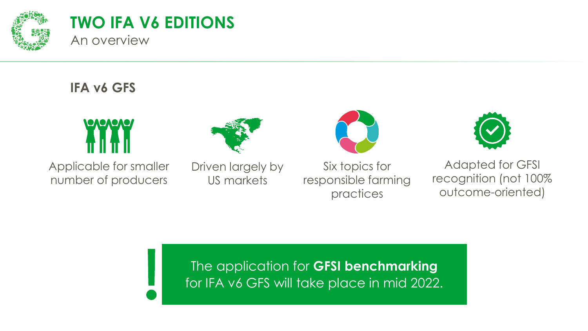

#### **TWO IFA V6 EDITIONS** An overview

#### **IFA v6 GFS**



Applicable for smaller number of producers



Driven largely by US markets







Adapted for GFSI recognition (not 100% outcome-oriented)

The application for **GFSI benchmarking**  for IFA v6 GFS will take place in mid 2022.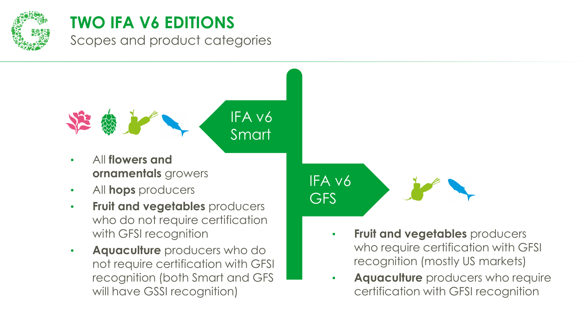

Scopes and product categories

IFA v6 Smart

- All **flowers and ornamentals** growers
- All **hops** producers
- **Fruit and vegetables** producers who do not require certification with GFSI recognition
- **Aquaculture** producers who do not require certification with GFSI recognition (both Smart and GFS will have GSSI recognition)



- **Fruit and vegetables** producers who require certification with GFSI recognition (mostly US markets)
- **Aquaculture** producers who require certification with GFSI recognition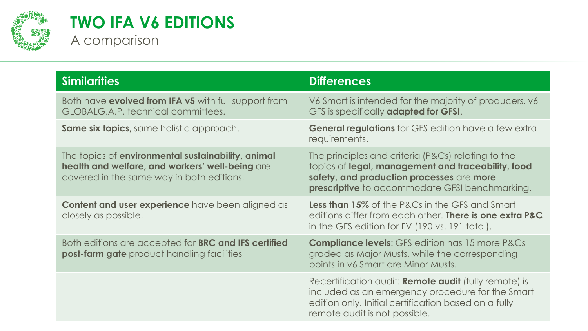

#### **TWO IFA V6 EDITIONS** A comparison

| <b>Similarities</b>                                                                                                                                | <b>Differences</b>                                                                                                                                                                                             |  |  |  |
|----------------------------------------------------------------------------------------------------------------------------------------------------|----------------------------------------------------------------------------------------------------------------------------------------------------------------------------------------------------------------|--|--|--|
| Both have evolved from IFA v5 with full support from<br>GLOBALG.A.P. technical committees.                                                         | V6 Smart is intended for the majority of producers, v6<br>GFS is specifically adapted for GFSI.                                                                                                                |  |  |  |
| <b>Same six topics, same holistic approach.</b>                                                                                                    | <b>General regulations</b> for GFS edition have a few extra<br>requirements.                                                                                                                                   |  |  |  |
| The topics of environmental sustainability, animal<br>health and welfare, and workers' well-being are<br>covered in the same way in both editions. | The principles and criteria (P&Cs) relating to the<br>topics of legal, management and traceability, food<br>safety, and production processes are more<br><b>prescriptive</b> to accommodate GFSI benchmarking. |  |  |  |
| Content and user experience have been aligned as<br>closely as possible.                                                                           | <b>Less than 15%</b> of the P&Cs in the GFS and Smart<br>editions differ from each other. There is one extra P&C<br>in the GFS edition for FV (190 vs. 191 total).                                             |  |  |  |
| Both editions are accepted for BRC and IFS certified<br><b>post-farm gate</b> product handling facilities                                          | <b>Compliance levels:</b> GFS edition has 15 more P&Cs<br>graded as Major Musts, while the corresponding<br>points in v6 Smart are Minor Musts.                                                                |  |  |  |
|                                                                                                                                                    | Recertification audit: <b>Remote audit</b> (fully remote) is<br>included as an emergency procedure for the Smart<br>edition only. Initial certification based on a fully<br>remote audit is not possible.      |  |  |  |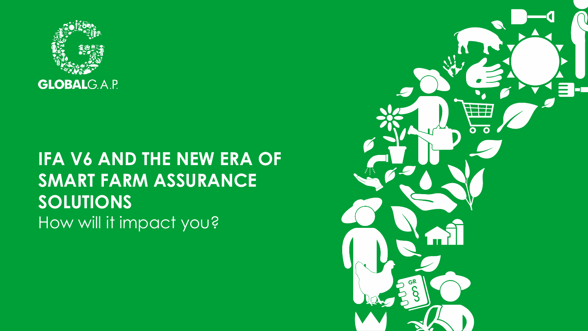

## **IFA V6 AND THE NEW ERA OF SMART FARM ASSURANCE SOLUTIONS** How will it impact you?

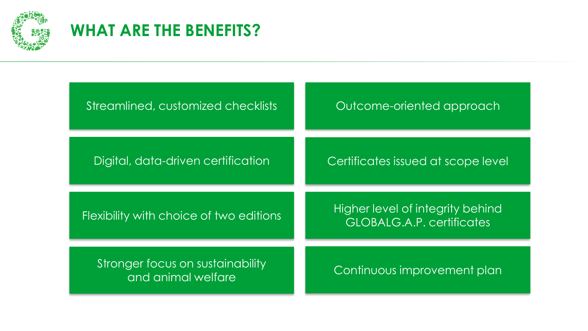

## **WHAT ARE THE BENEFITS?**

| Streamlined, customized checklists                     | Outcome-oriented approach                                                   |  |  |
|--------------------------------------------------------|-----------------------------------------------------------------------------|--|--|
| Digital, data-driven certification                     | Certificates issued at scope level                                          |  |  |
| Flexibility with choice of two editions                | <b>Higher level of integrity behind</b><br><b>GLOBALG.A.P. certificates</b> |  |  |
| Stronger focus on sustainability<br>and animal welfare | Continuous improvement plan                                                 |  |  |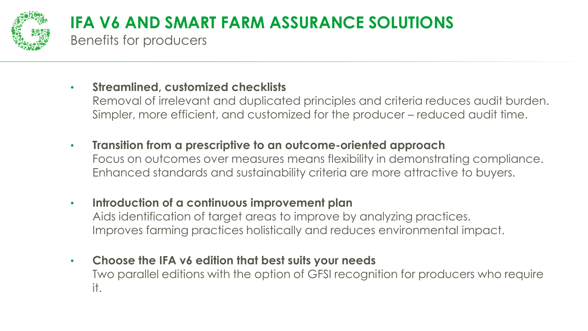

## **IFA V6 AND SMART FARM ASSURANCE SOLUTIONS**

Benefits for producers

#### • **Streamlined, customized checklists**

Removal of irrelevant and duplicated principles and criteria reduces audit burden. Simpler, more efficient, and customized for the producer – reduced audit time.

- **Transition from a prescriptive to an outcome-oriented approach** Focus on outcomes over measures means flexibility in demonstrating compliance. Enhanced standards and sustainability criteria are more attractive to buyers.
- **Introduction of a continuous improvement plan**

Aids identification of target areas to improve by analyzing practices. Improves farming practices holistically and reduces environmental impact.

• **Choose the IFA v6 edition that best suits your needs** Two parallel editions with the option of GFSI recognition for producers who require it.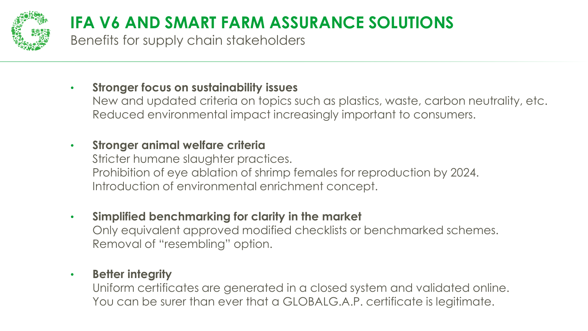

## **IFA V6 AND SMART FARM ASSURANCE SOLUTIONS**

Benefits for supply chain stakeholders

- **Stronger focus on sustainability issues**
	- New and updated criteria on topics such as plastics, waste, carbon neutrality, etc. Reduced environmental impact increasingly important to consumers.

#### • **Stronger animal welfare criteria**

Stricter humane slaughter practices. Prohibition of eye ablation of shrimp females for reproduction by 2024. Introduction of environmental enrichment concept.

• **Simplified benchmarking for clarity in the market**

Only equivalent approved modified checklists or benchmarked schemes. Removal of "resembling" option.

#### • **Better integrity**

Uniform certificates are generated in a closed system and validated online. You can be surer than ever that a GLOBALG.A.P. certificate is legitimate.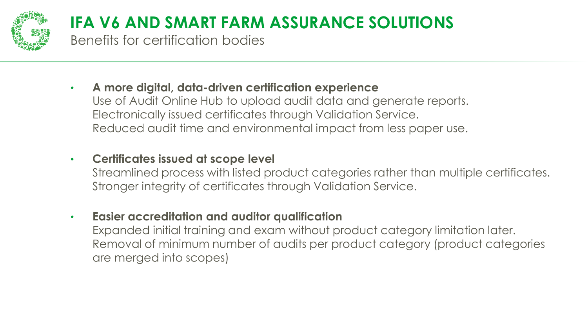

## **IFA V6 AND SMART FARM ASSURANCE SOLUTIONS**

Benefits for certification bodies

- **A more digital, data-driven certification experience** Use of Audit Online Hub to upload audit data and generate reports. Electronically issued certificates through Validation Service. Reduced audit time and environmental impact from less paper use.
- **Certificates issued at scope level**
	- Streamlined process with listed product categories rather than multiple certificates. Stronger integrity of certificates through Validation Service.
- **Easier accreditation and auditor qualification** Expanded initial training and exam without product category limitation later. Removal of minimum number of audits per product category (product categories are merged into scopes)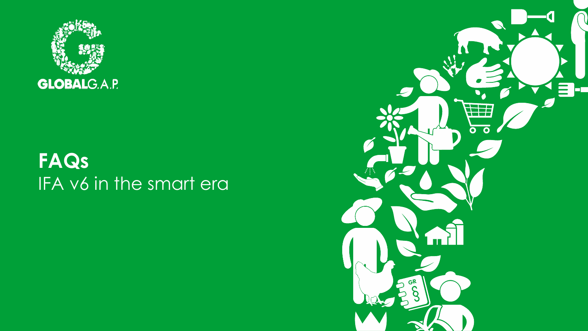

## **FAQs** IFA v6 in the smart era

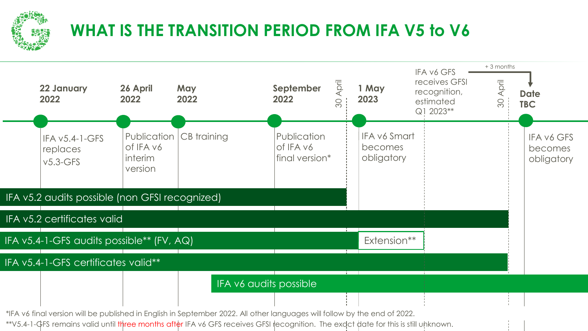

## **WHAT IS THE TRANSITION PERIOD FROM IFA V5 to V6**



\*IFA v6 final version will be published in English in September 2022. All other languages will follow by the end of 2022.

\*\*V5.4-1-GFS remains valid until three months after IFA v6 GFS receives GFSI recognition. The exdct date for this is still unknown.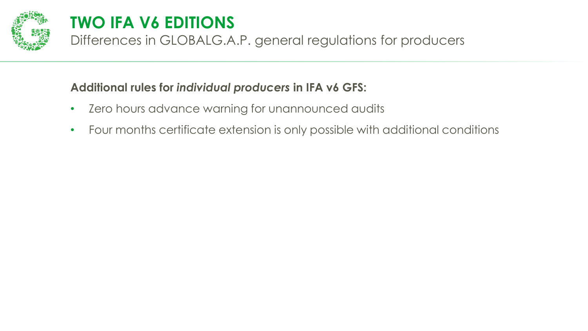

Differences in GLOBALG.A.P. general regulations for producers

#### **Additional rules for** *individual producers* **in IFA v6 GFS:**

- Zero hours advance warning for unannounced audits
- Four months certificate extension is only possible with additional conditions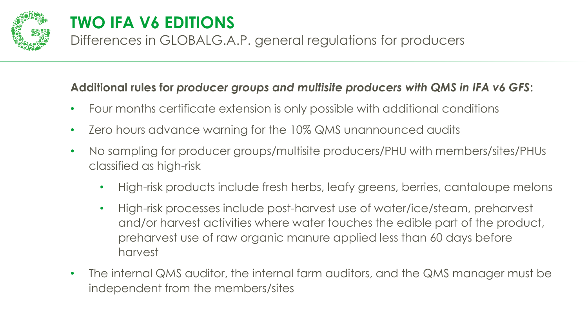

Differences in GLOBALG.A.P. general regulations for producers

#### **Additional rules for** *producer groups and multisite producers with QMS in IFA v6 GFS***:**

- Four months certificate extension is only possible with additional conditions
- Zero hours advance warning for the 10% QMS unannounced audits
- No sampling for producer groups/multisite producers/PHU with members/sites/PHUs classified as high-risk
	- High-risk products include fresh herbs, leafy greens, berries, cantaloupe melons
	- High-risk processes include post-harvest use of water/ice/steam, preharvest and/or harvest activities where water touches the edible part of the product, preharvest use of raw organic manure applied less than 60 days before harvest
- The internal QMS auditor, the internal farm auditors, and the QMS manager must be independent from the members/sites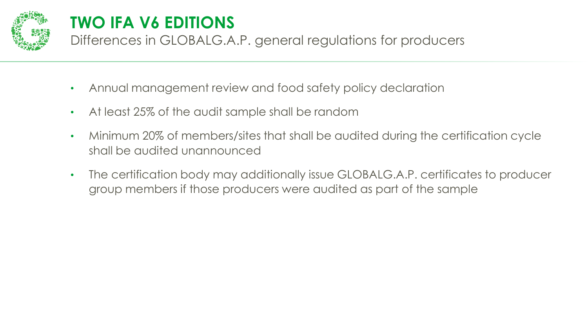

Differences in GLOBALG.A.P. general regulations for producers

- Annual management review and food safety policy declaration
- At least 25% of the audit sample shall be random
- Minimum 20% of members/sites that shall be audited during the certification cycle shall be audited unannounced
- The certification body may additionally issue GLOBALG.A.P. certificates to producer group members if those producers were audited as part of the sample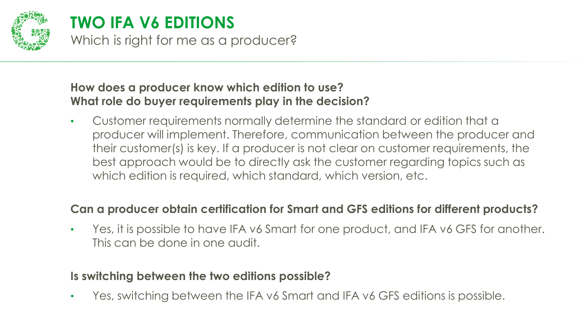

#### **TWO IFA V6 EDITIONS** Which is right for me as a producer?

#### **How does a producer know which edition to use? What role do buyer requirements play in the decision?**

• Customer requirements normally determine the standard or edition that a producer will implement. Therefore, communication between the producer and their customer(s) is key. If a producer is not clear on customer requirements, the best approach would be to directly ask the customer regarding topics such as which edition is required, which standard, which version, etc.

#### **Can a producer obtain certification for Smart and GFS editions for different products?**

Yes, it is possible to have IFA v6 Smart for one product, and IFA v6 GFS for another. This can be done in one audit.

#### **Is switching between the two editions possible?**

• Yes, switching between the IFA v6 Smart and IFA v6 GFS editions is possible.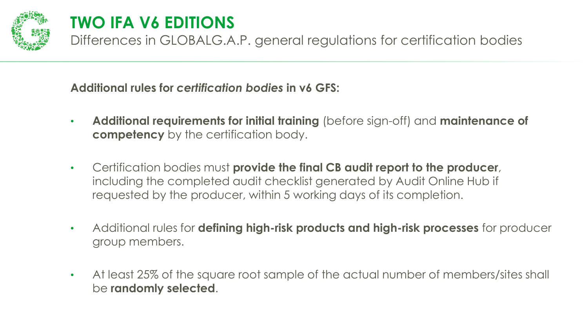

Differences in GLOBALG.A.P. general regulations for certification bodies

**Additional rules for** *certification bodies* **in v6 GFS:**

- **Additional requirements for initial training** (before sign-off) and **maintenance of competency** by the certification body.
- Certification bodies must **provide the final CB audit report to the producer**, including the completed audit checklist generated by Audit Online Hub if requested by the producer, within 5 working days of its completion.
- Additional rules for **defining high-risk products and high-risk processes** for producer group members.
- At least 25% of the square root sample of the actual number of members/sites shall be **randomly selected**.